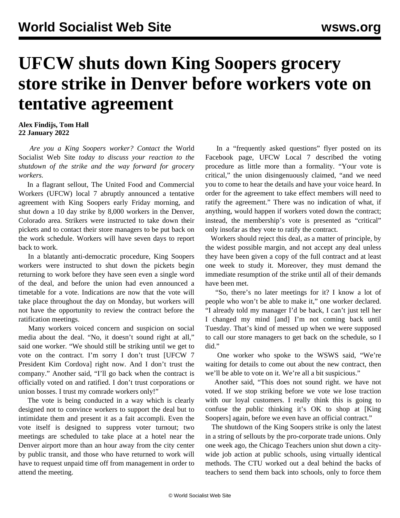## **UFCW shuts down King Soopers grocery store strike in Denver before workers vote on tentative agreement**

## **Alex Findijs, Tom Hall 22 January 2022**

 *Are you a King Soopers worker? [Contact](/en/special/pages/contact.html) the* World Socialist Web Site *today to discuss your reaction to the shutdown of the strike and the way forward for grocery workers.*

 In a flagrant sellout, The United Food and Commercial Workers (UFCW) local 7 abruptly announced a tentative agreement with King Soopers early Friday morning, and shut down a 10 day strike by 8,000 workers in the Denver, Colorado area. Strikers were instructed to take down their pickets and to contact their store managers to be put back on the work schedule. Workers will have seven days to report back to work.

 In a blatantly anti-democratic procedure, King Soopers workers were instructed to shut down the pickets begin returning to work before they have seen even a single word of the deal, and before the union had even announced a timetable for a vote. Indications are now that the vote will take place throughout the day on Monday, but workers will not have the opportunity to review the contract before the ratification meetings.

 Many workers voiced concern and suspicion on social media about the deal. "No, it doesn't sound right at all," said one worker. "We should still be striking until we get to vote on the contract. I'm sorry I don't trust [UFCW 7 President Kim Cordova] right now. And I don't trust the company." Another said, "I'll go back when the contract is officially voted on and ratified. I don't trust corporations or union bosses. I trust my comrade workers only!"

 The vote is being conducted in a way which is clearly designed not to convince workers to support the deal but to intimidate them and present it as a fait accompli. Even the vote itself is designed to suppress voter turnout; two meetings are scheduled to take place at a hotel near the Denver airport more than an hour away from the city center by public transit, and those who have returned to work will have to request unpaid time off from management in order to attend the meeting.

 In a "frequently asked questions" flyer posted on its Facebook page, UFCW Local 7 described the voting procedure as little more than a formality. "Your vote is critical," the union disingenuously claimed, "and we need you to come to hear the details and have your voice heard. In order for the agreement to take effect members will need to ratify the agreement." There was no indication of what, if anything, would happen if workers voted down the contract; instead, the membership's vote is presented as "critical" only insofar as they vote to ratify the contract.

 Workers should reject this deal, as a matter of principle, by the widest possible margin, and not accept any deal unless they have been given a copy of the full contract and at least one week to study it. Moreover, they must demand the immediate resumption of the strike until all of their demands have been met.

 "So, there's no later meetings for it? I know a lot of people who won't be able to make it," one worker declared. "I already told my manager I'd be back, I can't just tell her I changed my mind [and] I'm not coming back until Tuesday. That's kind of messed up when we were supposed to call our store managers to get back on the schedule, so I did."

 One worker who spoke to the WSWS said, "We're waiting for details to come out about the new contract, then we'll be able to vote on it. We're all a bit suspicious."

 Another said, "This does not sound right. we have not voted. If we stop striking before we vote we lose traction with our loyal customers. I really think this is going to confuse the public thinking it's OK to shop at [King Soopers] again, before we even have an official contract."

 The shutdown of the King Soopers strike is only the latest in a string of sellouts by the pro-corporate trade unions. Only one week ago, the Chicago Teachers union shut down a citywide job action at public schools, using virtually identical methods. The CTU worked out a deal behind the backs of teachers to send them back into schools, only to force them